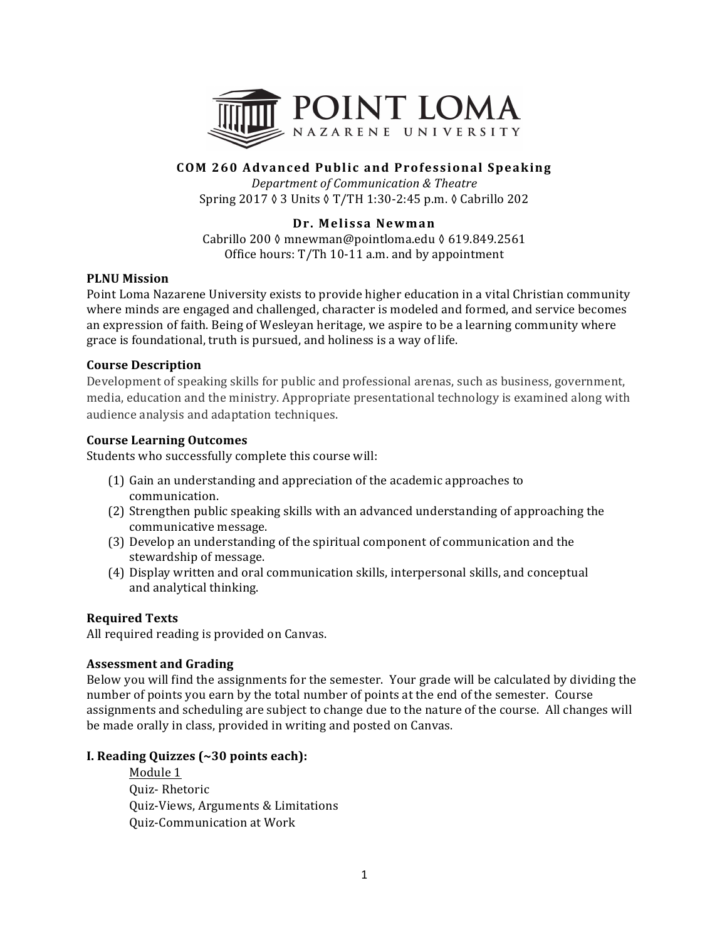

# **COM 260 Advanced Public and Professional Speaking**

*Department of Communication & Theatre* Spring 2017 ♦ 3 Units ♦ T/TH 1:30-2:45 p.m. ♦ Cabrillo 202

## **Dr. Melissa Newman**

Cabrillo 200 ◊ mnewman@pointloma.edu ◊ 619.849.2561 Office hours:  $T/Th$  10-11 a.m. and by appointment

### **PLNU** Mission

Point Loma Nazarene University exists to provide higher education in a vital Christian community where minds are engaged and challenged, character is modeled and formed, and service becomes an expression of faith. Being of Wesleyan heritage, we aspire to be a learning community where grace is foundational, truth is pursued, and holiness is a way of life.

### **Course Description**

Development of speaking skills for public and professional arenas, such as business, government, media, education and the ministry. Appropriate presentational technology is examined along with audience analysis and adaptation techniques.

## **Course Learning Outcomes**

Students who successfully complete this course will:

- (1) Gain an understanding and appreciation of the academic approaches to communication.
- (2) Strengthen public speaking skills with an advanced understanding of approaching the communicative message.
- (3) Develop an understanding of the spiritual component of communication and the stewardship of message.
- (4) Display written and oral communication skills, interpersonal skills, and conceptual and analytical thinking.

#### **Required Texts**

All required reading is provided on Canvas.

#### **Assessment and Grading**

Below you will find the assignments for the semester. Your grade will be calculated by dividing the number of points you earn by the total number of points at the end of the semester. Course assignments and scheduling are subject to change due to the nature of the course. All changes will be made orally in class, provided in writing and posted on Canvas.

#### **I. Reading Quizzes (~30 points each):**

Module 1 Quiz- Rhetoric Quiz-Views, Arguments & Limitations Quiz-Communication at Work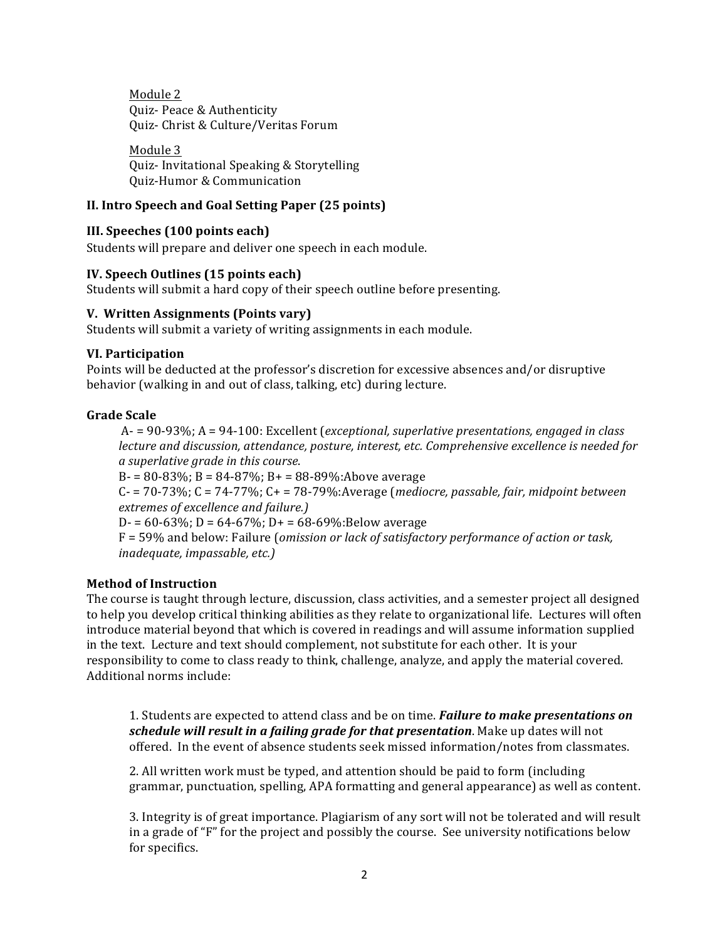Module 2 Quiz- Peace & Authenticity Quiz- Christ & Culture/Veritas Forum

Module 3 Quiz- Invitational Speaking & Storytelling Quiz-Humor & Communication

## **II. Intro Speech and Goal Setting Paper (25 points)**

#### **III.** Speeches (100 points each)

Students will prepare and deliver one speech in each module.

#### **IV.** Speech Outlines (15 points each)

Students will submit a hard copy of their speech outline before presenting.

#### **V. Written Assignments (Points vary)**

Students will submit a variety of writing assignments in each module.

#### **VI. Participation**

Points will be deducted at the professor's discretion for excessive absences and/or disruptive behavior (walking in and out of class, talking, etc) during lecture.

### **Grade Scale**

A- = 90-93%; A = 94-100: Excellent (exceptional, superlative presentations, engaged in class *lecture and discussion, attendance, posture, interest, etc. Comprehensive excellence is needed for a superlative grade in this course*.

B- = 80-83%; B = 84-87%; B+ = 88-89%:Above average

 $C - 70-73\%$ ;  $C = 74-77\%$ ;  $C + 78-79\%$ : Average (*mediocre, passable, fair, midpoint between extremes of excellence and failure.)*

D- =  $60-63\%$ ; D =  $64-67\%$ ; D+ =  $68-69\%$ :Below average

F = 59% and below: Failure (*omission or lack of satisfactory performance of action or task, inadequate, impassable, etc.)* 

#### **Method of Instruction**

The course is taught through lecture, discussion, class activities, and a semester project all designed to help you develop critical thinking abilities as they relate to organizational life. Lectures will often introduce material beyond that which is covered in readings and will assume information supplied in the text. Lecture and text should complement, not substitute for each other. It is your responsibility to come to class ready to think, challenge, analyze, and apply the material covered. Additional norms include:

1. Students are expected to attend class and be on time. *Failure to make presentations on* schedule will result in a failing grade for that presentation. Make up dates will not offered. In the event of absence students seek missed information/notes from classmates.

2. All written work must be typed, and attention should be paid to form (including grammar, punctuation, spelling, APA formatting and general appearance) as well as content.

3. Integrity is of great importance. Plagiarism of any sort will not be tolerated and will result in a grade of " $F$ " for the project and possibly the course. See university notifications below for specifics.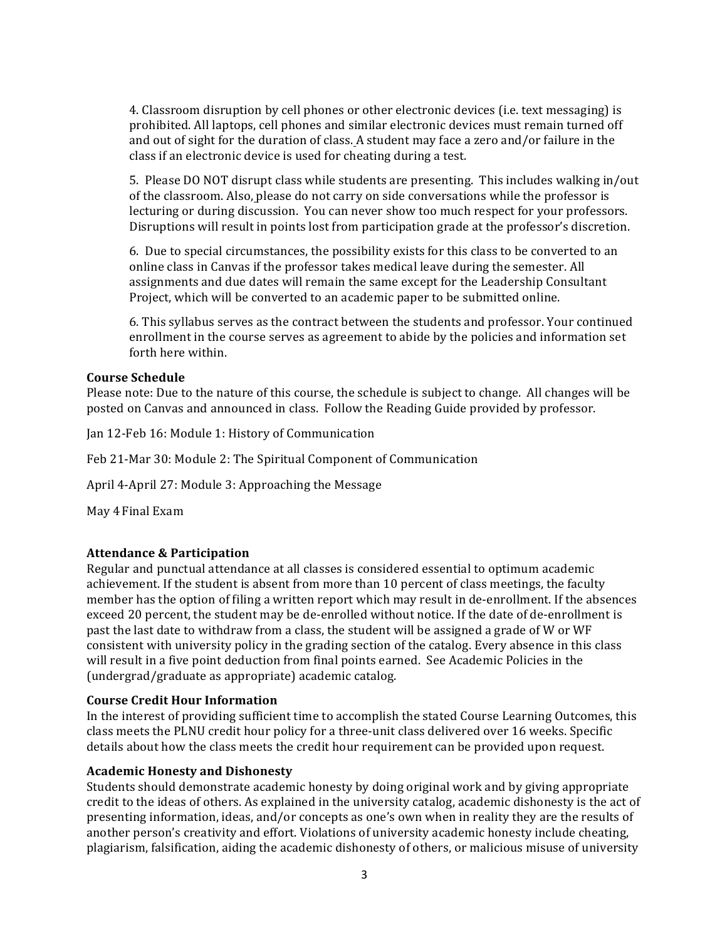4. Classroom disruption by cell phones or other electronic devices (i.e. text messaging) is prohibited. All laptops, cell phones and similar electronic devices must remain turned off and out of sight for the duration of class. A student may face a zero and/or failure in the class if an electronic device is used for cheating during a test.

5. Please DO NOT disrupt class while students are presenting. This includes walking in/out of the classroom. Also, please do not carry on side conversations while the professor is lecturing or during discussion. You can never show too much respect for your professors. Disruptions will result in points lost from participation grade at the professor's discretion.

6. Due to special circumstances, the possibility exists for this class to be converted to an online class in Canvas if the professor takes medical leave during the semester. All assignments and due dates will remain the same except for the Leadership Consultant Project, which will be converted to an academic paper to be submitted online.

6. This syllabus serves as the contract between the students and professor. Your continued enrollment in the course serves as agreement to abide by the policies and information set forth here within.

#### **Course Schedule**

Please note: Due to the nature of this course, the schedule is subject to change. All changes will be posted on Canvas and announced in class. Follow the Reading Guide provided by professor.

Jan 12-Feb 16: Module 1: History of Communication

Feb 21-Mar 30: Module 2: The Spiritual Component of Communication

April 4-April 27: Module 3: Approaching the Message

May 4 Final Exam

#### **Attendance & Participation**

Regular and punctual attendance at all classes is considered essential to optimum academic achievement. If the student is absent from more than 10 percent of class meetings, the faculty member has the option of filing a written report which may result in de-enrollment. If the absences exceed 20 percent, the student may be de-enrolled without notice. If the date of de-enrollment is past the last date to withdraw from a class, the student will be assigned a grade of W or WF consistent with university policy in the grading section of the catalog. Every absence in this class will result in a five point deduction from final points earned. See Academic Policies in the (undergrad/graduate as appropriate) academic catalog.

#### **Course Credit Hour Information**

In the interest of providing sufficient time to accomplish the stated Course Learning Outcomes, this class meets the PLNU credit hour policy for a three-unit class delivered over 16 weeks. Specific details about how the class meets the credit hour requirement can be provided upon request.

#### **Academic Honesty and Dishonesty**

Students should demonstrate academic honesty by doing original work and by giving appropriate credit to the ideas of others. As explained in the university catalog, academic dishonesty is the act of presenting information, ideas, and/or concepts as one's own when in reality they are the results of another person's creativity and effort. Violations of university academic honesty include cheating, plagiarism, falsification, aiding the academic dishonesty of others, or malicious misuse of university